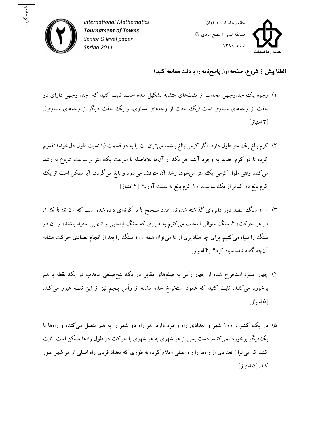

شماره گروه:



## (لطفا پيش از شروع، صفحه اول پاسخ نامه را با دقت مطالعه کنيد)

- ۱) وجوه يک چندوجهي محدب از مثلثهاي متشابه تشکيل شده است. ثابت کنيد که چند وجهي داراي دو جفت از وجههای مساوی است (يک جفت از وجههای مساوی، و يک جفت ديگر از وجههای مساوی).  $[$  امتياز
- )۲ کرم بالغ يک متر طول دارد. اگر کرمي بالغ باشد، ميتوان آن را به دو قسمت (با نسبت طول دلخواه) تقسيم کرد، تا دو کرم جديد به وجود آيند. هر يک از آنها بلافاصله با سرعت يک متر بر ساعت شروع به رشد مي کند. وقتي طول کرمي يک متر ميشود، رشد آن متوقف ميشود و بالغ ميگردد. آيا ممکن است از يک کرم بالغ در کمتر از يک ساعت، ۱۰ کرم بالغ به دست آورد؟ ۴[ امتياز]
- ۳) ۱۰۰ سنگ سفيد دور دايرهای گذاشته شدهاند. عدد صحيح k به گونهای داده شده است که ۵۰  $k \leq k \leq t$  . در هر حرکت، k سنگ متوالي انتخاب مي کنيم به طوري که سنگ ابتدايي و انتهايي سفيد باشند، و آن دو سنگ را سیاه میکنیم. برای چه مقادیری از  $k$  میتوان همه ۱۰۰ سنگ را بعد از انجام تعدادی حرکت مشابه آنچه گفته شد، سياه کرد؟ [۴ امتياز]
- )۴ چهار عمود استخراج شده از چهار رأس به ضلعهای مقابل در يک پنجضلع ي محدب در يک نقطه با هم برخورد ميکنند. ثابت کنيد که عمود استخراخ شده مشابه از رأس پنجم نيز از اين نقطه عبور ميکند. ۵[ امتياز]
- ۵) در يک کشور، ۱۰۰ شهر و تعدادي راه وجود دارد. هر راه دو شهر را به هم متصل مي کند، و راهها با يکديگر برخورد نميکنند. دسترسي از هر شهري به هر شهري با حرکت در طول راهها ممکن است. ثابت کنيد که ميتوان تعدادي از راهها را راه اصلي اعلام کرد، به طوري که تعداد فردي راه اصلي از هر شهر عبور کند. ۵[ امتياز]